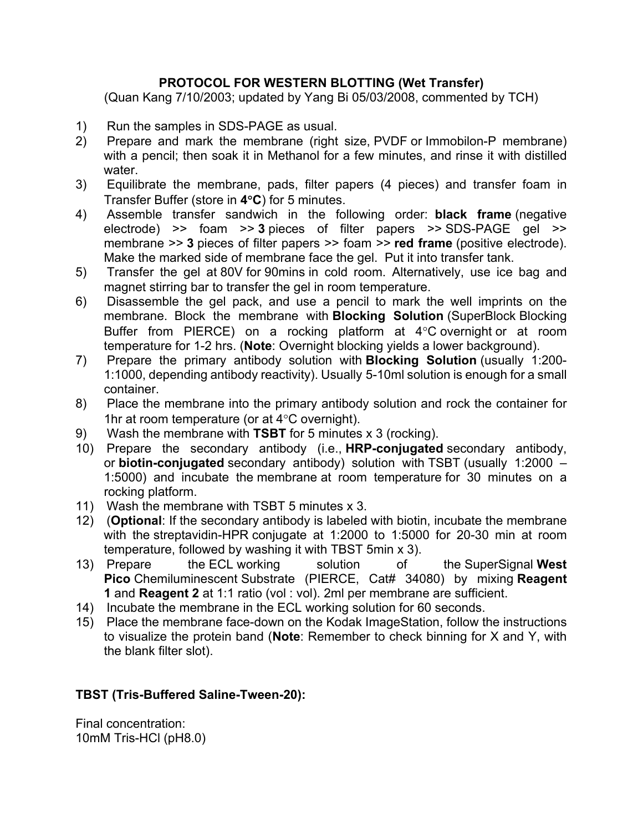## **PROTOCOL FOR WESTERN BLOTTING (Wet Transfer)**

(Quan Kang 7/10/2003; updated by Yang Bi 05/03/2008, commented by TCH)

- 1) Run the samples in SDS-PAGE as usual.
- 2) Prepare and mark the membrane (right size, PVDF or Immobilon-P membrane) with a pencil; then soak it in Methanol for a few minutes, and rinse it with distilled water.
- 3) Equilibrate the membrane, pads, filter papers (4 pieces) and transfer foam in Transfer Buffer (store in **4C**) for 5 minutes.
- 4) Assemble transfer sandwich in the following order: **black frame** (negative electrode) >> foam >> **3** pieces of filter papers >> SDS-PAGE gel >> membrane >> **3** pieces of filter papers >> foam >> **red frame** (positive electrode). Make the marked side of membrane face the gel. Put it into transfer tank.
- 5) Transfer the gel at 80V for 90mins in cold room. Alternatively, use ice bag and magnet stirring bar to transfer the gel in room temperature.
- 6) Disassemble the gel pack, and use a pencil to mark the well imprints on the membrane. Block the membrane with **Blocking Solution** (SuperBlock Blocking Buffer from PIERCE) on a rocking platform at  $4^{\circ}$ C overnight or at room temperature for 1-2 hrs. (**Note**: Overnight blocking yields a lower background).
- 7) Prepare the primary antibody solution with **Blocking Solution** (usually 1:200- 1:1000, depending antibody reactivity). Usually 5-10ml solution is enough for a small container.
- 8) Place the membrane into the primary antibody solution and rock the container for 1hr at room temperature (or at  $4^{\circ}$ C overnight).
- 9) Wash the membrane with **TSBT** for 5 minutes x 3 (rocking).
- 10) Prepare the secondary antibody (i.e., **HRP-conjugated** secondary antibody, or **biotin-conjugated** secondary antibody) solution with TSBT (usually 1:2000 – 1:5000) and incubate the membrane at room temperature for 30 minutes on a rocking platform.
- 11) Wash the membrane with TSBT 5 minutes x 3.
- 12) (**Optional**: If the secondary antibody is labeled with biotin, incubate the membrane with the streptavidin-HPR conjugate at 1:2000 to 1:5000 for 20-30 min at room temperature, followed by washing it with TBST 5min x 3).
- 13) Prepare the ECL working solution of the SuperSignal **West Pico** Chemiluminescent Substrate (PIERCE, Cat# 34080) by mixing **Reagent 1** and **Reagent 2** at 1:1 ratio (vol : vol). 2ml per membrane are sufficient.
- 14) Incubate the membrane in the ECL working solution for 60 seconds.
- 15) Place the membrane face-down on the Kodak ImageStation, follow the instructions to visualize the protein band (**Note**: Remember to check binning for X and Y, with the blank filter slot).

## **TBST (Tris-Buffered Saline-Tween-20):**

Final concentration: 10mM Tris-HCl (pH8.0)